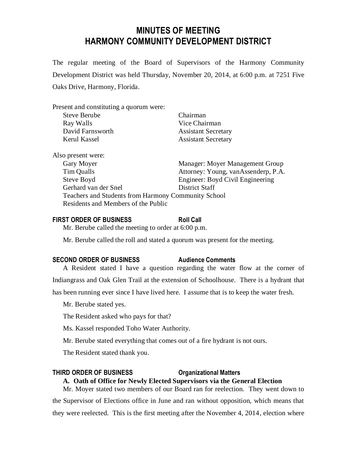# **MINUTES OF MEETING HARMONY COMMUNITY DEVELOPMENT DISTRICT**

The regular meeting of the Board of Supervisors of the Harmony Community Development District was held Thursday, November 20, 2014, at 6:00 p.m. at 7251 Five Oaks Drive, Harmony, Florida.

| Present and constituting a quorum were: |                                     |
|-----------------------------------------|-------------------------------------|
| <b>Steve Berube</b>                     | Chairman                            |
| Ray Walls                               | Vice Chairman                       |
| David Farnsworth                        | <b>Assistant Secretary</b>          |
| Kerul Kassel                            | <b>Assistant Secretary</b>          |
| Also present were:                      |                                     |
| Gary Moyer                              | Manager: Moyer Management Group     |
| Tim Qualls                              | Attorney: Young, vanAssenderp, P.A. |

| Steve Boyd                                          | Engineer: Boyd Civil Engineering |
|-----------------------------------------------------|----------------------------------|
| Gerhard van der Snel                                | District Staff                   |
| Teachers and Students from Harmony Community School |                                  |
| Residents and Members of the Public                 |                                  |

# **FIRST ORDER OF BUSINESS Roll Call**

Mr. Berube called the meeting to order at 6:00 p.m.

Mr. Berube called the roll and stated a quorum was present for the meeting.

#### **SECOND ORDER OF BUSINESS Audience Comments**

A Resident stated I have a question regarding the water flow at the corner of Indiangrass and Oak Glen Trail at the extension of Schoolhouse. There is a hydrant that

has been running ever since I have lived here. I assume that is to keep the water fresh.

Mr. Berube stated yes.

The Resident asked who pays for that?

Ms. Kassel responded Toho Water Authority.

Mr. Berube stated everything that comes out of a fire hydrant is not ours.

The Resident stated thank you.

# **THIRD ORDER OF BUSINESS Organizational Matters**

# **A. Oath of Office for Newly Elected Supervisors via the General Election**

Mr. Moyer stated two members of our Board ran for reelection. They went down to the Supervisor of Elections office in June and ran without opposition, which means that they were reelected. This is the first meeting after the November 4, 2014, election where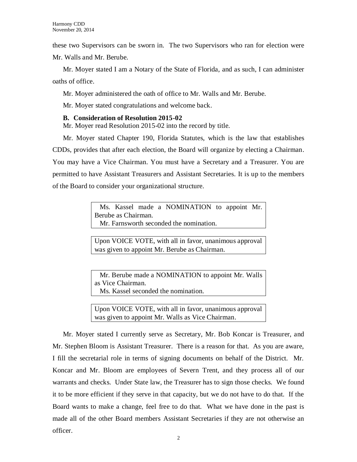these two Supervisors can be sworn in. The two Supervisors who ran for election were Mr. Walls and Mr. Berube.

Mr. Moyer stated I am a Notary of the State of Florida, and as such, I can administer oaths of office.

Mr. Moyer administered the oath of office to Mr. Walls and Mr. Berube.

Mr. Moyer stated congratulations and welcome back.

# **B. Consideration of Resolution 2015-02**

Mr. Moyer read Resolution 2015-02 into the record by title.

Mr. Moyer stated Chapter 190, Florida Statutes, which is the law that establishes CDDs, provides that after each election, the Board will organize by electing a Chairman. You may have a Vice Chairman. You must have a Secretary and a Treasurer. You are permitted to have Assistant Treasurers and Assistant Secretaries. It is up to the members of the Board to consider your organizational structure.

> Ms. Kassel made a NOMINATION to appoint Mr. Berube as Chairman. Mr. Farnsworth seconded the nomination.

> Upon VOICE VOTE, with all in favor, unanimous approval was given to appoint Mr. Berube as Chairman.

> Mr. Berube made a NOMINATION to appoint Mr. Walls as Vice Chairman. Ms. Kassel seconded the nomination.

> Upon VOICE VOTE, with all in favor, unanimous approval was given to appoint Mr. Walls as Vice Chairman.

Mr. Moyer stated I currently serve as Secretary, Mr. Bob Koncar is Treasurer, and Mr. Stephen Bloom is Assistant Treasurer. There is a reason for that. As you are aware, I fill the secretarial role in terms of signing documents on behalf of the District. Mr. Koncar and Mr. Bloom are employees of Severn Trent, and they process all of our warrants and checks. Under State law, the Treasurer has to sign those checks. We found it to be more efficient if they serve in that capacity, but we do not have to do that. If the Board wants to make a change, feel free to do that. What we have done in the past is made all of the other Board members Assistant Secretaries if they are not otherwise an officer.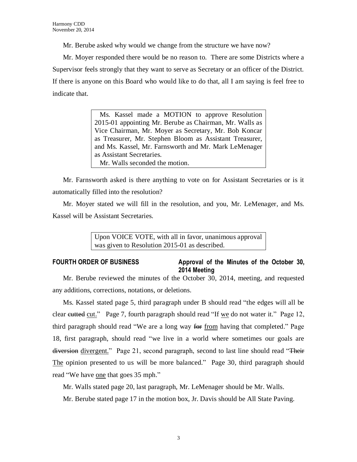Mr. Berube asked why would we change from the structure we have now?

Mr. Moyer responded there would be no reason to. There are some Districts where a Supervisor feels strongly that they want to serve as Secretary or an officer of the District. If there is anyone on this Board who would like to do that, all I am saying is feel free to indicate that.

> Ms. Kassel made a MOTION to approve Resolution 2015-01 appointing Mr. Berube as Chairman, Mr. Walls as Vice Chairman, Mr. Moyer as Secretary, Mr. Bob Koncar as Treasurer, Mr. Stephen Bloom as Assistant Treasurer, and Ms. Kassel, Mr. Farnsworth and Mr. Mark LeMenager as Assistant Secretaries. Mr. Walls seconded the motion.

Mr. Farnsworth asked is there anything to vote on for Assistant Secretaries or is it automatically filled into the resolution?

Mr. Moyer stated we will fill in the resolution, and you, Mr. LeMenager, and Ms. Kassel will be Assistant Secretaries.

> Upon VOICE VOTE, with all in favor, unanimous approval was given to Resolution 2015-01 as described.

# **FOURTH ORDER OF BUSINESS Approval of the Minutes of the October 30, 2014 Meeting**

Mr. Berube reviewed the minutes of the October 30, 2014, meeting, and requested any additions, corrections, notations, or deletions.

Ms. Kassel stated page 5, third paragraph under B should read "the edges will all be clear eutted cut." Page 7, fourth paragraph should read "If we do not water it." Page 12, third paragraph should read "We are a long way for from having that completed." Page 18, first paragraph, should read "we live in a world where sometimes our goals are diversion divergent." Page 21, second paragraph, second to last line should read "Their The opinion presented to us will be more balanced." Page 30, third paragraph should read "We have one that goes 35 mph."

Mr. Walls stated page 20, last paragraph, Mr. LeMenager should be Mr. Walls.

Mr. Berube stated page 17 in the motion box, Jr. Davis should be All State Paving.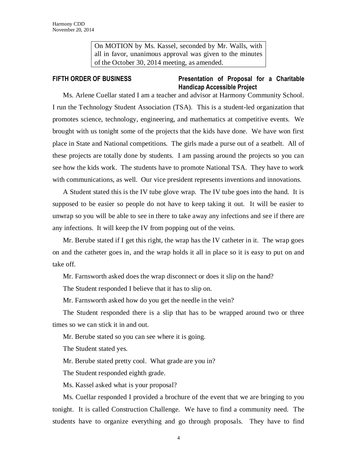On MOTION by Ms. Kassel, seconded by Mr. Walls, with all in favor, unanimous approval was given to the minutes of the October 30, 2014 meeting, as amended.

# **FIFTH ORDER OF BUSINESS Presentation of Proposal for a Charitable Handicap Accessible Project**

Ms. Arlene Cuellar stated I am a teacher and advisor at Harmony Community School. I run the Technology Student Association (TSA). This is a student-led organization that promotes science, technology, engineering, and mathematics at competitive events. We brought with us tonight some of the projects that the kids have done. We have won first place in State and National competitions. The girls made a purse out of a seatbelt. All of these projects are totally done by students. I am passing around the projects so you can see how the kids work. The students have to promote National TSA. They have to work with communications, as well. Our vice president represents inventions and innovations.

A Student stated this is the IV tube glove wrap. The IV tube goes into the hand. It is supposed to be easier so people do not have to keep taking it out. It will be easier to unwrap so you will be able to see in there to take away any infections and see if there are any infections. It will keep the IV from popping out of the veins.

Mr. Berube stated if I get this right, the wrap has the IV catheter in it. The wrap goes on and the catheter goes in, and the wrap holds it all in place so it is easy to put on and take off.

Mr. Farnsworth asked does the wrap disconnect or does it slip on the hand?

The Student responded I believe that it has to slip on.

Mr. Farnsworth asked how do you get the needle in the vein?

The Student responded there is a slip that has to be wrapped around two or three times so we can stick it in and out.

Mr. Berube stated so you can see where it is going.

The Student stated yes.

Mr. Berube stated pretty cool. What grade are you in?

The Student responded eighth grade.

Ms. Kassel asked what is your proposal?

Ms. Cuellar responded I provided a brochure of the event that we are bringing to you tonight. It is called Construction Challenge. We have to find a community need. The students have to organize everything and go through proposals. They have to find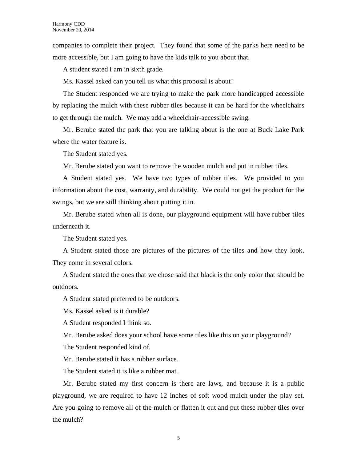companies to complete their project. They found that some of the parks here need to be more accessible, but I am going to have the kids talk to you about that.

A student stated I am in sixth grade.

Ms. Kassel asked can you tell us what this proposal is about?

The Student responded we are trying to make the park more handicapped accessible by replacing the mulch with these rubber tiles because it can be hard for the wheelchairs to get through the mulch. We may add a wheelchair-accessible swing.

Mr. Berube stated the park that you are talking about is the one at Buck Lake Park where the water feature is.

The Student stated yes.

Mr. Berube stated you want to remove the wooden mulch and put in rubber tiles.

A Student stated yes. We have two types of rubber tiles. We provided to you information about the cost, warranty, and durability. We could not get the product for the swings, but we are still thinking about putting it in.

Mr. Berube stated when all is done, our playground equipment will have rubber tiles underneath it.

The Student stated yes.

A Student stated those are pictures of the pictures of the tiles and how they look. They come in several colors.

A Student stated the ones that we chose said that black is the only color that should be outdoors.

A Student stated preferred to be outdoors.

Ms. Kassel asked is it durable?

A Student responded I think so.

Mr. Berube asked does your school have some tiles like this on your playground?

The Student responded kind of.

Mr. Berube stated it has a rubber surface.

The Student stated it is like a rubber mat.

Mr. Berube stated my first concern is there are laws, and because it is a public playground, we are required to have 12 inches of soft wood mulch under the play set. Are you going to remove all of the mulch or flatten it out and put these rubber tiles over the mulch?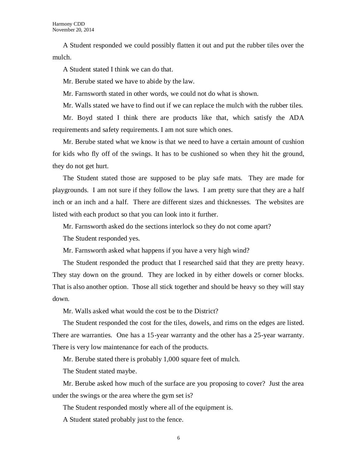A Student responded we could possibly flatten it out and put the rubber tiles over the mulch.

A Student stated I think we can do that.

Mr. Berube stated we have to abide by the law.

Mr. Farnsworth stated in other words, we could not do what is shown.

Mr. Walls stated we have to find out if we can replace the mulch with the rubber tiles.

Mr. Boyd stated I think there are products like that, which satisfy the ADA requirements and safety requirements. I am not sure which ones.

Mr. Berube stated what we know is that we need to have a certain amount of cushion for kids who fly off of the swings. It has to be cushioned so when they hit the ground, they do not get hurt.

The Student stated those are supposed to be play safe mats. They are made for playgrounds. I am not sure if they follow the laws. I am pretty sure that they are a half inch or an inch and a half. There are different sizes and thicknesses. The websites are listed with each product so that you can look into it further.

Mr. Farnsworth asked do the sections interlock so they do not come apart?

The Student responded yes.

Mr. Farnsworth asked what happens if you have a very high wind?

The Student responded the product that I researched said that they are pretty heavy. They stay down on the ground. They are locked in by either dowels or corner blocks. That is also another option. Those all stick together and should be heavy so they will stay down.

Mr. Walls asked what would the cost be to the District?

The Student responded the cost for the tiles, dowels, and rims on the edges are listed. There are warranties. One has a 15-year warranty and the other has a 25-year warranty. There is very low maintenance for each of the products.

Mr. Berube stated there is probably 1,000 square feet of mulch.

The Student stated maybe.

Mr. Berube asked how much of the surface are you proposing to cover? Just the area under the swings or the area where the gym set is?

The Student responded mostly where all of the equipment is.

A Student stated probably just to the fence.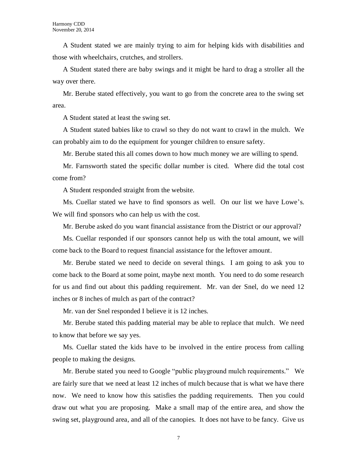A Student stated we are mainly trying to aim for helping kids with disabilities and those with wheelchairs, crutches, and strollers.

A Student stated there are baby swings and it might be hard to drag a stroller all the way over there.

Mr. Berube stated effectively, you want to go from the concrete area to the swing set area.

A Student stated at least the swing set.

A Student stated babies like to crawl so they do not want to crawl in the mulch. We can probably aim to do the equipment for younger children to ensure safety.

Mr. Berube stated this all comes down to how much money we are willing to spend.

Mr. Farnsworth stated the specific dollar number is cited. Where did the total cost come from?

A Student responded straight from the website.

Ms. Cuellar stated we have to find sponsors as well. On our list we have Lowe's. We will find sponsors who can help us with the cost.

Mr. Berube asked do you want financial assistance from the District or our approval?

Ms. Cuellar responded if our sponsors cannot help us with the total amount, we will come back to the Board to request financial assistance for the leftover amount.

Mr. Berube stated we need to decide on several things. I am going to ask you to come back to the Board at some point, maybe next month. You need to do some research for us and find out about this padding requirement. Mr. van der Snel, do we need 12 inches or 8 inches of mulch as part of the contract?

Mr. van der Snel responded I believe it is 12 inches.

Mr. Berube stated this padding material may be able to replace that mulch. We need to know that before we say yes.

Ms. Cuellar stated the kids have to be involved in the entire process from calling people to making the designs.

Mr. Berube stated you need to Google "public playground mulch requirements." We are fairly sure that we need at least 12 inches of mulch because that is what we have there now. We need to know how this satisfies the padding requirements. Then you could draw out what you are proposing. Make a small map of the entire area, and show the swing set, playground area, and all of the canopies. It does not have to be fancy. Give us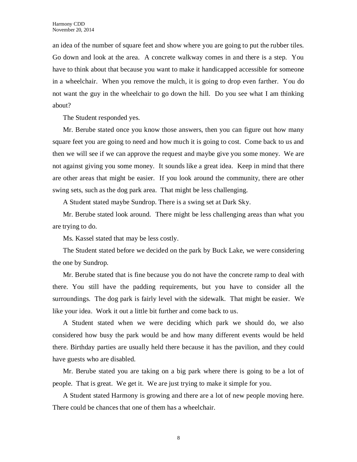an idea of the number of square feet and show where you are going to put the rubber tiles. Go down and look at the area. A concrete walkway comes in and there is a step. You have to think about that because you want to make it handicapped accessible for someone in a wheelchair. When you remove the mulch, it is going to drop even farther. You do not want the guy in the wheelchair to go down the hill. Do you see what I am thinking about?

The Student responded yes.

Mr. Berube stated once you know those answers, then you can figure out how many square feet you are going to need and how much it is going to cost. Come back to us and then we will see if we can approve the request and maybe give you some money. We are not against giving you some money. It sounds like a great idea. Keep in mind that there are other areas that might be easier. If you look around the community, there are other swing sets, such as the dog park area. That might be less challenging.

A Student stated maybe Sundrop. There is a swing set at Dark Sky.

Mr. Berube stated look around. There might be less challenging areas than what you are trying to do.

Ms. Kassel stated that may be less costly.

The Student stated before we decided on the park by Buck Lake, we were considering the one by Sundrop.

Mr. Berube stated that is fine because you do not have the concrete ramp to deal with there. You still have the padding requirements, but you have to consider all the surroundings. The dog park is fairly level with the sidewalk. That might be easier. We like your idea. Work it out a little bit further and come back to us.

A Student stated when we were deciding which park we should do, we also considered how busy the park would be and how many different events would be held there. Birthday parties are usually held there because it has the pavilion, and they could have guests who are disabled.

Mr. Berube stated you are taking on a big park where there is going to be a lot of people. That is great. We get it. We are just trying to make it simple for you.

A Student stated Harmony is growing and there are a lot of new people moving here. There could be chances that one of them has a wheelchair.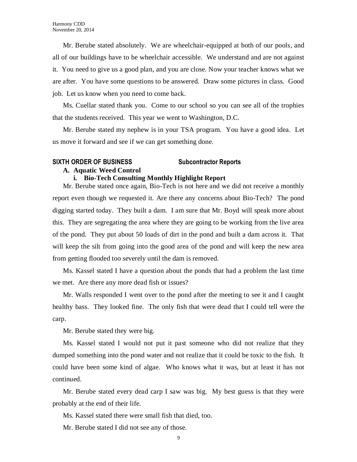Mr. Berube stated absolutely. We are wheelchair-equipped at both of our pools, and all of our buildings have to be wheelchair accessible. We understand and are not against it. You need to give us a good plan, and you are close. Now your teacher knows what we are after. You have some questions to be answered. Draw some pictures in class. Good job. Let us know when you need to come back.

Ms. Cuellar stated thank you. Come to our school so you can see all of the trophies that the students received. This year we went to Washington, D.C.

Mr. Berube stated my nephew is in your TSA program. You have a good idea. Let us move it forward and see if we can get something done.

### **SIXTH ORDER OF BUSINESS Subcontractor Reports**

### **A. Aquatic Weed Control**

# **i. Bio-Tech Consulting Monthly Highlight Report**

Mr. Berube stated once again, Bio-Tech is not here and we did not receive a monthly report even though we requested it. Are there any concerns about Bio-Tech? The pond digging started today. They built a dam. I am sure that Mr. Boyd will speak more about this. They are segregating the area where they are going to be working from the live area of the pond. They put about 50 loads of dirt in the pond and built a dam across it. That will keep the silt from going into the good area of the pond and will keep the new area from getting flooded too severely until the dam is removed.

Ms. Kassel stated I have a question about the ponds that had a problem the last time we met. Are there any more dead fish or issues?

Mr. Walls responded I went over to the pond after the meeting to see it and I caught healthy bass. They looked fine. The only fish that were dead that I could tell were the carp.

Mr. Berube stated they were big.

Ms. Kassel stated I would not put it past someone who did not realize that they dumped something into the pond water and not realize that it could be toxic to the fish. It could have been some kind of algae. Who knows what it was, but at least it has not continued.

Mr. Berube stated every dead carp I saw was big. My best guess is that they were probably at the end of their life.

Ms. Kassel stated there were small fish that died, too.

Mr. Berube stated I did not see any of those.

9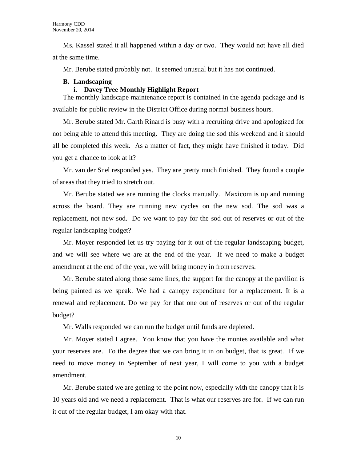Ms. Kassel stated it all happened within a day or two. They would not have all died at the same time.

Mr. Berube stated probably not. It seemed unusual but it has not continued.

# **B. Landscaping**

# **i. Davey Tree Monthly Highlight Report**

The monthly landscape maintenance report is contained in the agenda package and is available for public review in the District Office during normal business hours.

Mr. Berube stated Mr. Garth Rinard is busy with a recruiting drive and apologized for not being able to attend this meeting. They are doing the sod this weekend and it should all be completed this week. As a matter of fact, they might have finished it today. Did you get a chance to look at it?

Mr. van der Snel responded yes. They are pretty much finished. They found a couple of areas that they tried to stretch out.

Mr. Berube stated we are running the clocks manually. Maxicom is up and running across the board. They are running new cycles on the new sod. The sod was a replacement, not new sod. Do we want to pay for the sod out of reserves or out of the regular landscaping budget?

Mr. Moyer responded let us try paying for it out of the regular landscaping budget, and we will see where we are at the end of the year. If we need to make a budget amendment at the end of the year, we will bring money in from reserves.

Mr. Berube stated along those same lines, the support for the canopy at the pavilion is being painted as we speak. We had a canopy expenditure for a replacement. It is a renewal and replacement. Do we pay for that one out of reserves or out of the regular budget?

Mr. Walls responded we can run the budget until funds are depleted.

Mr. Moyer stated I agree. You know that you have the monies available and what your reserves are. To the degree that we can bring it in on budget, that is great. If we need to move money in September of next year, I will come to you with a budget amendment.

Mr. Berube stated we are getting to the point now, especially with the canopy that it is 10 years old and we need a replacement. That is what our reserves are for. If we can run it out of the regular budget, I am okay with that.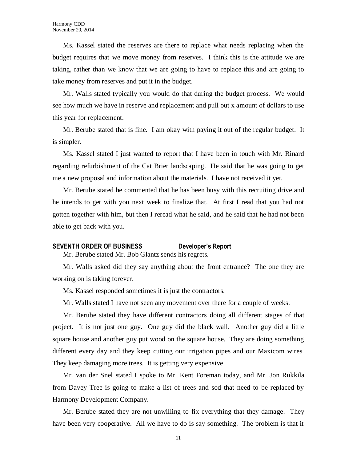Ms. Kassel stated the reserves are there to replace what needs replacing when the budget requires that we move money from reserves. I think this is the attitude we are taking, rather than we know that we are going to have to replace this and are going to take money from reserves and put it in the budget.

Mr. Walls stated typically you would do that during the budget process. We would see how much we have in reserve and replacement and pull out x amount of dollars to use this year for replacement.

Mr. Berube stated that is fine. I am okay with paying it out of the regular budget. It is simpler.

Ms. Kassel stated I just wanted to report that I have been in touch with Mr. Rinard regarding refurbishment of the Cat Brier landscaping. He said that he was going to get me a new proposal and information about the materials. I have not received it yet.

Mr. Berube stated he commented that he has been busy with this recruiting drive and he intends to get with you next week to finalize that. At first I read that you had not gotten together with him, but then I reread what he said, and he said that he had not been able to get back with you.

#### **SEVENTH ORDER OF BUSINESS Developer's Report**

Mr. Berube stated Mr. Bob Glantz sends his regrets.

Mr. Walls asked did they say anything about the front entrance? The one they are working on is taking forever.

Ms. Kassel responded sometimes it is just the contractors.

Mr. Walls stated I have not seen any movement over there for a couple of weeks.

Mr. Berube stated they have different contractors doing all different stages of that project. It is not just one guy. One guy did the black wall. Another guy did a little square house and another guy put wood on the square house. They are doing something different every day and they keep cutting our irrigation pipes and our Maxicom wires. They keep damaging more trees. It is getting very expensive.

Mr. van der Snel stated I spoke to Mr. Kent Foreman today, and Mr. Jon Rukkila from Davey Tree is going to make a list of trees and sod that need to be replaced by Harmony Development Company.

Mr. Berube stated they are not unwilling to fix everything that they damage. They have been very cooperative. All we have to do is say something. The problem is that it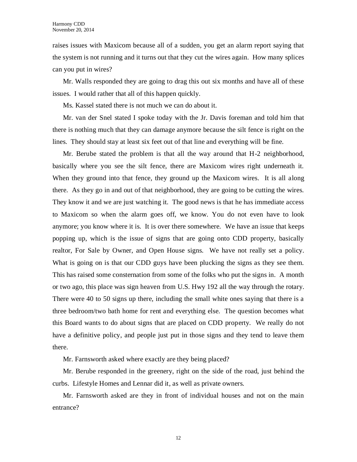raises issues with Maxicom because all of a sudden, you get an alarm report saying that the system is not running and it turns out that they cut the wires again. How many splices can you put in wires?

Mr. Walls responded they are going to drag this out six months and have all of these issues. I would rather that all of this happen quickly.

Ms. Kassel stated there is not much we can do about it.

Mr. van der Snel stated I spoke today with the Jr. Davis foreman and told him that there is nothing much that they can damage anymore because the silt fence is right on the lines. They should stay at least six feet out of that line and everything will be fine.

Mr. Berube stated the problem is that all the way around that H-2 neighborhood, basically where you see the silt fence, there are Maxicom wires right underneath it. When they ground into that fence, they ground up the Maxicom wires. It is all along there. As they go in and out of that neighborhood, they are going to be cutting the wires. They know it and we are just watching it. The good news is that he has immediate access to Maxicom so when the alarm goes off, we know. You do not even have to look anymore; you know where it is. It is over there somewhere. We have an issue that keeps popping up, which is the issue of signs that are going onto CDD property, basically realtor, For Sale by Owner, and Open House signs. We have not really set a policy. What is going on is that our CDD guys have been plucking the signs as they see them. This has raised some consternation from some of the folks who put the signs in. A month or two ago, this place was sign heaven from U.S. Hwy 192 all the way through the rotary. There were 40 to 50 signs up there, including the small white ones saying that there is a three bedroom/two bath home for rent and everything else. The question becomes what this Board wants to do about signs that are placed on CDD property. We really do not have a definitive policy, and people just put in those signs and they tend to leave them there.

Mr. Farnsworth asked where exactly are they being placed?

Mr. Berube responded in the greenery, right on the side of the road, just behind the curbs. Lifestyle Homes and Lennar did it, as well as private owners.

Mr. Farnsworth asked are they in front of individual houses and not on the main entrance?

12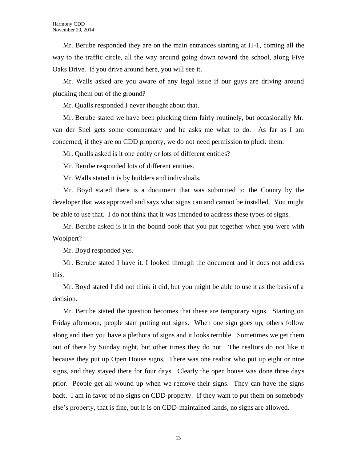Mr. Berube responded they are on the main entrances starting at H-1, coming all the way to the traffic circle, all the way around going down toward the school, along Five Oaks Drive. If you drive around here, you will see it.

Mr. Walls asked are you aware of any legal issue if our guys are driving around plucking them out of the ground?

Mr. Qualls responded I never thought about that.

Mr. Berube stated we have been plucking them fairly routinely, but occasionally Mr. van der Snel gets some commentary and he asks me what to do. As far as I am concerned, if they are on CDD property, we do not need permission to pluck them.

Mr. Qualls asked is it one entity or lots of different entities?

Mr. Berube responded lots of different entities.

Mr. Walls stated it is by builders and individuals.

Mr. Boyd stated there is a document that was submitted to the County by the developer that was approved and says what signs can and cannot be installed. You might be able to use that. I do not think that it was intended to address these types of signs.

Mr. Berube asked is it in the bound book that you put together when you were with Woolpert?

Mr. Boyd responded yes.

Mr. Berube stated I have it. I looked through the document and it does not address this.

Mr. Boyd stated I did not think it did, but you might be able to use it as the basis of a decision.

Mr. Berube stated the question becomes that these are temporary signs. Starting on Friday afternoon, people start putting out signs. When one sign goes up, others follow along and then you have a plethora of signs and it looks terrible. Sometimes we get them out of there by Sunday night, but other times they do not. The realtors do not like it because they put up Open House signs. There was one realtor who put up eight or nine signs, and they stayed there for four days. Clearly the open house was done three days prior. People get all wound up when we remove their signs. They can have the signs back. I am in favor of no signs on CDD property. If they want to put them on somebody else's property, that is fine, but if is on CDD-maintained lands, no signs are allowed.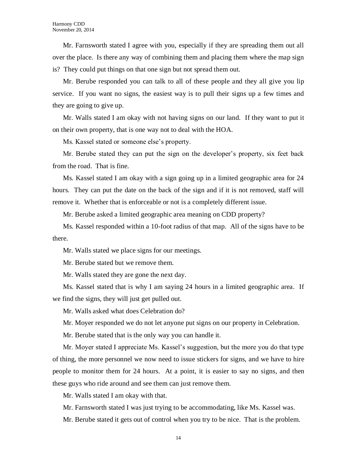Mr. Farnsworth stated I agree with you, especially if they are spreading them out all over the place. Is there any way of combining them and placing them where the map sign is? They could put things on that one sign but not spread them out.

Mr. Berube responded you can talk to all of these people and they all give you lip service. If you want no signs, the easiest way is to pull their signs up a few times and they are going to give up.

Mr. Walls stated I am okay with not having signs on our land. If they want to put it on their own property, that is one way not to deal with the HOA.

Ms. Kassel stated or someone else's property.

Mr. Berube stated they can put the sign on the developer's property, six feet back from the road. That is fine.

Ms. Kassel stated I am okay with a sign going up in a limited geographic area for 24 hours. They can put the date on the back of the sign and if it is not removed, staff will remove it. Whether that is enforceable or not is a completely different issue.

Mr. Berube asked a limited geographic area meaning on CDD property?

Ms. Kassel responded within a 10-foot radius of that map. All of the signs have to be there.

Mr. Walls stated we place signs for our meetings.

Mr. Berube stated but we remove them.

Mr. Walls stated they are gone the next day.

Ms. Kassel stated that is why I am saying 24 hours in a limited geographic area. If we find the signs, they will just get pulled out.

Mr. Walls asked what does Celebration do?

Mr. Moyer responded we do not let anyone put signs on our property in Celebration.

Mr. Berube stated that is the only way you can handle it.

Mr. Moyer stated I appreciate Ms. Kassel's suggestion, but the more you do that type of thing, the more personnel we now need to issue stickers for signs, and we have to hire people to monitor them for 24 hours. At a point, it is easier to say no signs, and then these guys who ride around and see them can just remove them.

Mr. Walls stated I am okay with that.

Mr. Farnsworth stated I was just trying to be accommodating, like Ms. Kassel was.

Mr. Berube stated it gets out of control when you try to be nice. That is the problem.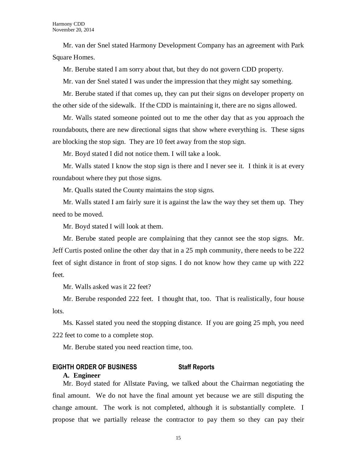Mr. van der Snel stated Harmony Development Company has an agreement with Park Square Homes.

Mr. Berube stated I am sorry about that, but they do not govern CDD property.

Mr. van der Snel stated I was under the impression that they might say something.

Mr. Berube stated if that comes up, they can put their signs on developer property on the other side of the sidewalk. If the CDD is maintaining it, there are no signs allowed.

Mr. Walls stated someone pointed out to me the other day that as you approach the roundabouts, there are new directional signs that show where everything is. These signs are blocking the stop sign. They are 10 feet away from the stop sign.

Mr. Boyd stated I did not notice them. I will take a look.

Mr. Walls stated I know the stop sign is there and I never see it. I think it is at every roundabout where they put those signs.

Mr. Qualls stated the County maintains the stop signs.

Mr. Walls stated I am fairly sure it is against the law the way they set them up. They need to be moved.

Mr. Boyd stated I will look at them.

Mr. Berube stated people are complaining that they cannot see the stop signs. Mr. Jeff Curtis posted online the other day that in a 25 mph community, there needs to be 222 feet of sight distance in front of stop signs. I do not know how they came up with 222 feet.

Mr. Walls asked was it 22 feet?

Mr. Berube responded 222 feet. I thought that, too. That is realistically, four house lots.

Ms. Kassel stated you need the stopping distance. If you are going 25 mph, you need 222 feet to come to a complete stop.

Mr. Berube stated you need reaction time, too.

# **EIGHTH ORDER OF BUSINESS Staff Reports**

#### **A. Engineer**

Mr. Boyd stated for Allstate Paving, we talked about the Chairman negotiating the final amount. We do not have the final amount yet because we are still disputing the change amount. The work is not completed, although it is substantially complete. I propose that we partially release the contractor to pay them so they can pay their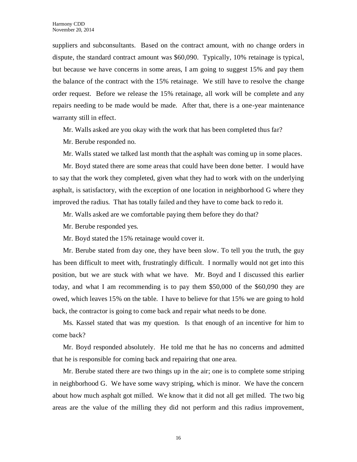suppliers and subconsultants. Based on the contract amount, with no change orders in dispute, the standard contract amount was \$60,090. Typically, 10% retainage is typical, but because we have concerns in some areas, I am going to suggest 15% and pay them the balance of the contract with the 15% retainage. We still have to resolve the change order request. Before we release the 15% retainage, all work will be complete and any repairs needing to be made would be made. After that, there is a one-year maintenance warranty still in effect.

Mr. Walls asked are you okay with the work that has been completed thus far?

Mr. Berube responded no.

Mr. Walls stated we talked last month that the asphalt was coming up in some places.

Mr. Boyd stated there are some areas that could have been done better. I would have to say that the work they completed, given what they had to work with on the underlying asphalt, is satisfactory, with the exception of one location in neighborhood G where they improved the radius. That has totally failed and they have to come back to redo it.

Mr. Walls asked are we comfortable paying them before they do that?

Mr. Berube responded yes.

Mr. Boyd stated the 15% retainage would cover it.

Mr. Berube stated from day one, they have been slow. To tell you the truth, the guy has been difficult to meet with, frustratingly difficult. I normally would not get into this position, but we are stuck with what we have. Mr. Boyd and I discussed this earlier today, and what I am recommending is to pay them \$50,000 of the \$60,090 they are owed, which leaves 15% on the table. I have to believe for that 15% we are going to hold back, the contractor is going to come back and repair what needs to be done.

Ms. Kassel stated that was my question. Is that enough of an incentive for him to come back?

Mr. Boyd responded absolutely. He told me that he has no concerns and admitted that he is responsible for coming back and repairing that one area.

Mr. Berube stated there are two things up in the air; one is to complete some striping in neighborhood G. We have some wavy striping, which is minor. We have the concern about how much asphalt got milled. We know that it did not all get milled. The two big areas are the value of the milling they did not perform and this radius improvement,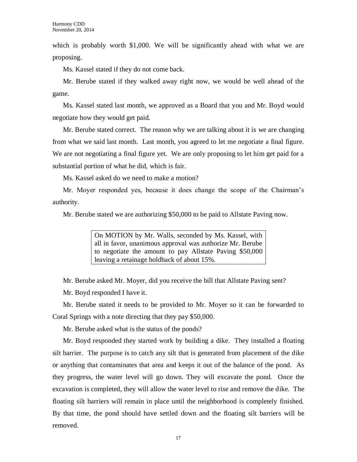which is probably worth \$1,000. We will be significantly ahead with what we are proposing.

Ms. Kassel stated if they do not come back.

Mr. Berube stated if they walked away right now, we would be well ahead of the game.

Ms. Kassel stated last month, we approved as a Board that you and Mr. Boyd would negotiate how they would get paid.

Mr. Berube stated correct. The reason why we are talking about it is we are changing from what we said last month. Last month, you agreed to let me negotiate a final figure. We are not negotiating a final figure yet. We are only proposing to let him get paid for a substantial portion of what he did, which is fair.

Ms. Kassel asked do we need to make a motion?

Mr. Moyer responded yes, because it does change the scope of the Chairman's authority.

Mr. Berube stated we are authorizing \$50,000 to be paid to Allstate Paving now.

On MOTION by Mr. Walls, seconded by Ms. Kassel, with all in favor, unanimous approval was authorize Mr. Berube to negotiate the amount to pay Allstate Paving \$50,000 leaving a retainage holdback of about 15%.

Mr. Berube asked Mr. Moyer, did you receive the bill that Allstate Paving sent?

Mr. Boyd responded I have it.

Mr. Berube stated it needs to be provided to Mr. Moyer so it can be forwarded to Coral Springs with a note directing that they pay \$50,000.

Mr. Berube asked what is the status of the ponds?

Mr. Boyd responded they started work by building a dike. They installed a floating silt barrier. The purpose is to catch any silt that is generated from placement of the dike or anything that contaminates that area and keeps it out of the balance of the pond. As they progress, the water level will go down. They will excavate the pond. Once the excavation is completed, they will allow the water level to rise and remove the dike. The floating silt barriers will remain in place until the neighborhood is completely finished. By that time, the pond should have settled down and the floating silt barriers will be removed.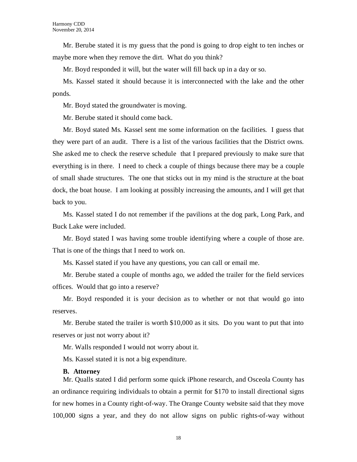Mr. Berube stated it is my guess that the pond is going to drop eight to ten inches or maybe more when they remove the dirt. What do you think?

Mr. Boyd responded it will, but the water will fill back up in a day or so.

Ms. Kassel stated it should because it is interconnected with the lake and the other ponds.

Mr. Boyd stated the groundwater is moving.

Mr. Berube stated it should come back.

Mr. Boyd stated Ms. Kassel sent me some information on the facilities. I guess that they were part of an audit. There is a list of the various facilities that the District owns. She asked me to check the reserve schedule that I prepared previously to make sure that everything is in there. I need to check a couple of things because there may be a couple of small shade structures. The one that sticks out in my mind is the structure at the boat dock, the boat house. I am looking at possibly increasing the amounts, and I will get that back to you.

Ms. Kassel stated I do not remember if the pavilions at the dog park, Long Park, and Buck Lake were included.

Mr. Boyd stated I was having some trouble identifying where a couple of those are. That is one of the things that I need to work on.

Ms. Kassel stated if you have any questions, you can call or email me.

Mr. Berube stated a couple of months ago, we added the trailer for the field services offices. Would that go into a reserve?

Mr. Boyd responded it is your decision as to whether or not that would go into reserves.

Mr. Berube stated the trailer is worth \$10,000 as it sits. Do you want to put that into reserves or just not worry about it?

Mr. Walls responded I would not worry about it.

Ms. Kassel stated it is not a big expenditure.

#### **B. Attorney**

Mr. Qualls stated I did perform some quick iPhone research, and Osceola County has an ordinance requiring individuals to obtain a permit for \$170 to install directional signs for new homes in a County right-of-way. The Orange County website said that they move 100,000 signs a year, and they do not allow signs on public rights-of-way without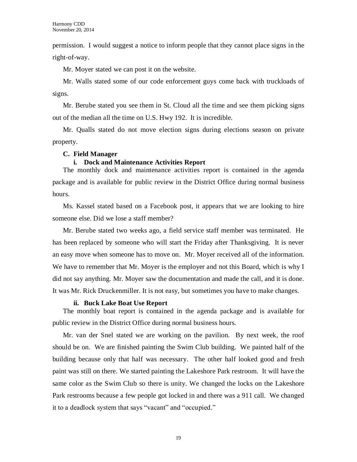permission. I would suggest a notice to inform people that they cannot place signs in the right-of-way.

Mr. Moyer stated we can post it on the website.

Mr. Walls stated some of our code enforcement guys come back with truckloads of signs.

Mr. Berube stated you see them in St. Cloud all the time and see them picking signs out of the median all the time on U.S. Hwy 192. It is incredible.

Mr. Qualls stated do not move election signs during elections season on private property.

# **C. Field Manager**

### **i. Dock and Maintenance Activities Report**

The monthly dock and maintenance activities report is contained in the agenda package and is available for public review in the District Office during normal business hours.

Ms. Kassel stated based on a Facebook post, it appears that we are looking to hire someone else. Did we lose a staff member?

Mr. Berube stated two weeks ago, a field service staff member was terminated. He has been replaced by someone who will start the Friday after Thanksgiving. It is never an easy move when someone has to move on. Mr. Moyer received all of the information. We have to remember that Mr. Moyer is the employer and not this Board, which is why I did not say anything. Mr. Moyer saw the documentation and made the call, and it is done. It was Mr. Rick Druckenmiller. It is not easy, but sometimes you have to make changes.

#### **ii. Buck Lake Boat Use Report**

The monthly boat report is contained in the agenda package and is available for public review in the District Office during normal business hours.

Mr. van der Snel stated we are working on the pavilion. By next week, the roof should be on. We are finished painting the Swim Club building. We painted half of the building because only that half was necessary. The other half looked good and fresh paint was still on there. We started painting the Lakeshore Park restroom. It will have the same color as the Swim Club so there is unity. We changed the locks on the Lakeshore Park restrooms because a few people got locked in and there was a 911 call. We changed it to a deadlock system that says "vacant" and "occupied."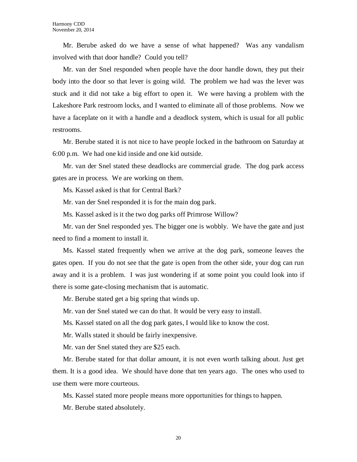Mr. Berube asked do we have a sense of what happened? Was any vandalism involved with that door handle? Could you tell?

Mr. van der Snel responded when people have the door handle down, they put their body into the door so that lever is going wild. The problem we had was the lever was stuck and it did not take a big effort to open it. We were having a problem with the Lakeshore Park restroom locks, and I wanted to eliminate all of those problems. Now we have a faceplate on it with a handle and a deadlock system, which is usual for all public restrooms.

Mr. Berube stated it is not nice to have people locked in the bathroom on Saturday at 6:00 p.m. We had one kid inside and one kid outside.

Mr. van der Snel stated these deadlocks are commercial grade. The dog park access gates are in process. We are working on them.

Ms. Kassel asked is that for Central Bark?

Mr. van der Snel responded it is for the main dog park.

Ms. Kassel asked is it the two dog parks off Primrose Willow?

Mr. van der Snel responded yes. The bigger one is wobbly. We have the gate and just need to find a moment to install it.

Ms. Kassel stated frequently when we arrive at the dog park, someone leaves the gates open. If you do not see that the gate is open from the other side, your dog can run away and it is a problem. I was just wondering if at some point you could look into if there is some gate-closing mechanism that is automatic.

Mr. Berube stated get a big spring that winds up.

Mr. van der Snel stated we can do that. It would be very easy to install.

Ms. Kassel stated on all the dog park gates, I would like to know the cost.

Mr. Walls stated it should be fairly inexpensive.

Mr. van der Snel stated they are \$25 each.

Mr. Berube stated for that dollar amount, it is not even worth talking about. Just get them. It is a good idea. We should have done that ten years ago. The ones who used to use them were more courteous.

Ms. Kassel stated more people means more opportunities for things to happen.

Mr. Berube stated absolutely.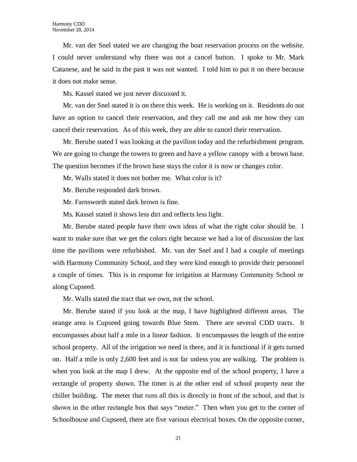Mr. van der Snel stated we are changing the boat reservation process on the website. I could never understand why there was not a cancel button. I spoke to Mr. Mark Catanese, and he said in the past it was not wanted. I told him to put it on there because it does not make sense.

Ms. Kassel stated we just never discussed it.

Mr. van der Snel stated it is on there this week. He is working on it. Residents do not have an option to cancel their reservation, and they call me and ask me how they can cancel their reservation. As of this week, they are able to cancel their reservation.

Mr. Berube stated I was looking at the pavilion today and the refurbishment program. We are going to change the towers to green and have a yellow canopy with a brown base. The question becomes if the brown base stays the color it is now or changes color.

Mr. Walls stated it does not bother me. What color is it?

Mr. Berube responded dark brown.

Mr. Farnsworth stated dark brown is fine.

Ms. Kassel stated it shows less dirt and reflects less light.

Mr. Berube stated people have their own ideas of what the right color should be. I want to make sure that we get the colors right because we had a lot of discussion the last time the pavilions were refurbished. Mr. van der Snel and I had a couple of meetings with Harmony Community School, and they were kind enough to provide their personnel a couple of times. This is in response for irrigation at Harmony Community School or along Cupseed.

Mr. Walls stated the tract that we own, not the school.

Mr. Berube stated if you look at the map, I have highlighted different areas. The orange area is Cupseed going towards Blue Stem. There are several CDD tracts. It encompasses about half a mile in a linear fashion. It encompasses the length of the entire school property. All of the irrigation we need is there, and it is functional if it gets turned on. Half a mile is only 2,600 feet and is not far unless you are walking. The problem is when you look at the map I drew. At the opposite end of the school property, I have a rectangle of property shown. The timer is at the other end of school property near the chiller building. The meter that runs all this is directly in front of the school, and that is shown in the other rectangle box that says "meter." Then when you get to the corner of Schoolhouse and Cupseed, there are five various electrical boxes. On the opposite corner,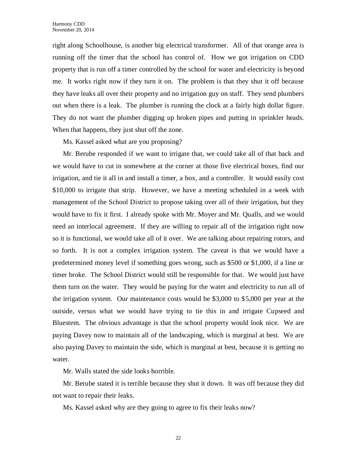right along Schoolhouse, is another big electrical transformer. All of that orange area is running off the timer that the school has control of. How we got irrigation on CDD property that is run off a timer controlled by the school for water and electricity is beyond me. It works right now if they turn it on. The problem is that they shut it off because they have leaks all over their property and no irrigation guy on staff. They send plumbers out when there is a leak. The plumber is running the clock at a fairly high dollar figure. They do not want the plumber digging up broken pipes and putting in sprinkler heads. When that happens, they just shut off the zone.

Ms. Kassel asked what are you proposing?

Mr. Berube responded if we want to irrigate that, we could take all of that back and we would have to cut in somewhere at the corner at those five electrical boxes, find our irrigation, and tie it all in and install a timer, a box, and a controller. It would easily cost \$10,000 to irrigate that strip. However, we have a meeting scheduled in a week with management of the School District to propose taking over all of their irrigation, but they would have to fix it first. I already spoke with Mr. Moyer and Mr. Qualls, and we would need an interlocal agreement. If they are willing to repair all of the irrigation right now so it is functional, we would take all of it over. We are talking about repairing rotors, and so forth. It is not a complex irrigation system. The caveat is that we would have a predetermined money level if something goes wrong, such as \$500 or \$1,000, if a line or timer broke. The School District would still be responsible for that. We would just have them turn on the water. They would be paying for the water and electricity to run all of the irrigation system. Our maintenance costs would be \$3,000 to \$5,000 per year at the outside, versus what we would have trying to tie this in and irrigate Cupseed and Bluestem. The obvious advantage is that the school property would look nice. We are paying Davey now to maintain all of the landscaping, which is marginal at best. We are also paying Davey to maintain the side, which is marginal at best, because it is getting no water.

Mr. Walls stated the side looks horrible.

Mr. Berube stated it is terrible because they shut it down. It was off because they did not want to repair their leaks.

Ms. Kassel asked why are they going to agree to fix their leaks now?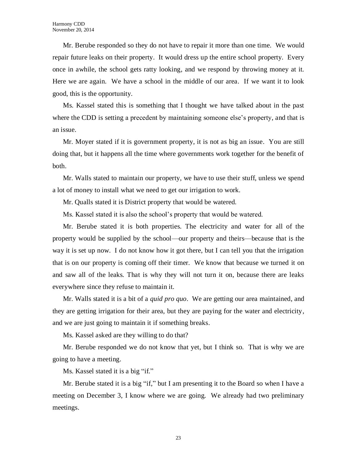Mr. Berube responded so they do not have to repair it more than one time. We would repair future leaks on their property. It would dress up the entire school property. Every once in awhile, the school gets ratty looking, and we respond by throwing money at it. Here we are again. We have a school in the middle of our area. If we want it to look good, this is the opportunity.

Ms. Kassel stated this is something that I thought we have talked about in the past where the CDD is setting a precedent by maintaining someone else's property, and that is an issue.

Mr. Moyer stated if it is government property, it is not as big an issue. You are still doing that, but it happens all the time where governments work together for the benefit of both.

Mr. Walls stated to maintain our property, we have to use their stuff, unless we spend a lot of money to install what we need to get our irrigation to work.

Mr. Qualls stated it is District property that would be watered.

Ms. Kassel stated it is also the school's property that would be watered.

Mr. Berube stated it is both properties. The electricity and water for all of the property would be supplied by the school—our property and theirs—because that is the way it is set up now. I do not know how it got there, but I can tell you that the irrigation that is on our property is coming off their timer. We know that because we turned it on and saw all of the leaks. That is why they will not turn it on, because there are leaks everywhere since they refuse to maintain it.

Mr. Walls stated it is a bit of a *quid pro quo*. We are getting our area maintained, and they are getting irrigation for their area, but they are paying for the water and electricity, and we are just going to maintain it if something breaks.

Ms. Kassel asked are they willing to do that?

Mr. Berube responded we do not know that yet, but I think so. That is why we are going to have a meeting.

Ms. Kassel stated it is a big "if."

Mr. Berube stated it is a big "if," but I am presenting it to the Board so when I have a meeting on December 3, I know where we are going. We already had two preliminary meetings.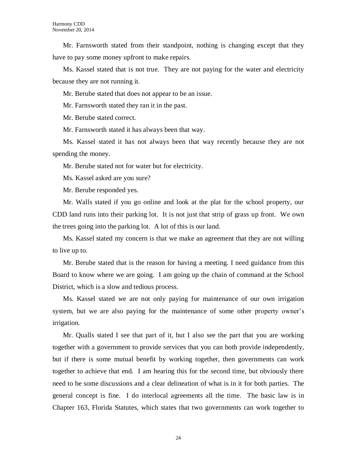Mr. Farnsworth stated from their standpoint, nothing is changing except that they have to pay some money upfront to make repairs.

Ms. Kassel stated that is not true. They are not paying for the water and electricity because they are not running it.

Mr. Berube stated that does not appear to be an issue.

Mr. Farnsworth stated they ran it in the past.

Mr. Berube stated correct.

Mr. Farnsworth stated it has always been that way.

Ms. Kassel stated it has not always been that way recently because they are not spending the money.

Mr. Berube stated not for water but for electricity.

Ms. Kassel asked are you sure?

Mr. Berube responded yes.

Mr. Walls stated if you go online and look at the plat for the school property, our CDD land runs into their parking lot. It is not just that strip of grass up front. We own the trees going into the parking lot. A lot of this is our land.

Ms. Kassel stated my concern is that we make an agreement that they are not willing to live up to.

Mr. Berube stated that is the reason for having a meeting. I need guidance from this Board to know where we are going. I am going up the chain of command at the School District, which is a slow and tedious process.

Ms. Kassel stated we are not only paying for maintenance of our own irrigation system, but we are also paying for the maintenance of some other property owner's irrigation.

Mr. Qualls stated I see that part of it, but I also see the part that you are working together with a government to provide services that you can both provide independently, but if there is some mutual benefit by working together, then governments can work together to achieve that end. I am hearing this for the second time, but obviously there need to be some discussions and a clear delineation of what is in it for both parties. The general concept is fine. I do interlocal agreements all the time. The basic law is in Chapter 163, Florida Statutes, which states that two governments can work together to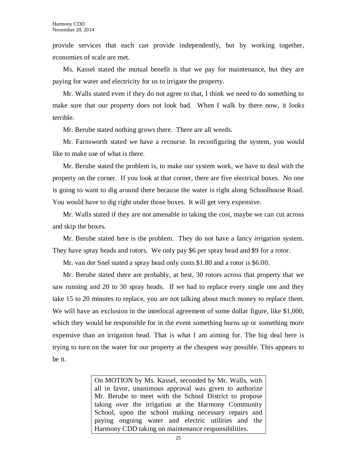provide services that each can provide independently, but by working together, economies of scale are met.

Ms. Kassel stated the mutual benefit is that we pay for maintenance, but they are paying for water and electricity for us to irrigate the property.

Mr. Walls stated even if they do not agree to that, I think we need to do something to make sure that our property does not look bad. When I walk by there now, it looks terrible.

Mr. Berube stated nothing grows there. There are all weeds.

Mr. Farnsworth stated we have a recourse. In reconfiguring the system, you would like to make use of what is there.

Mr. Berube stated the problem is, to make our system work, we have to deal with the property on the corner. If you look at that corner, there are five electrical boxes. No one is going to want to dig around there because the water is right along Schoolhouse Road. You would have to dig right under those boxes. It will get very expensive.

Mr. Walls stated if they are not amenable to taking the cost, maybe we can cut across and skip the boxes.

Mr. Berube stated here is the problem. They do not have a fancy irrigation system. They have spray heads and rotors. We only pay \$6 per spray head and \$9 for a rotor.

Mr. van der Snel stated a spray head only costs \$1.80 and a rotor is \$6.00.

Mr. Berube stated there are probably, at best, 30 rotors across that property that we saw running and 20 to 30 spray heads. If we had to replace every single one and they take 15 to 20 minutes to replace, you are not talking about much money to replace them. We will have an exclusion in the interlocal agreement of some dollar figure, like \$1,000, which they would be responsible for in the event something burns up or something more expensive than an irrigation head. That is what I am aiming for. The big deal here is trying to turn on the water for our property at the cheapest way possible. This appears to be it.

> On MOTION by Ms. Kassel, seconded by Mr. Walls, with all in favor, unanimous approval was given to authorize Mr. Berube to meet with the School District to propose taking over the irrigation at the Harmony Community School, upon the school making necessary repairs and paying ongoing water and electric utilities and the Harmony CDD taking on maintenance responsibilities.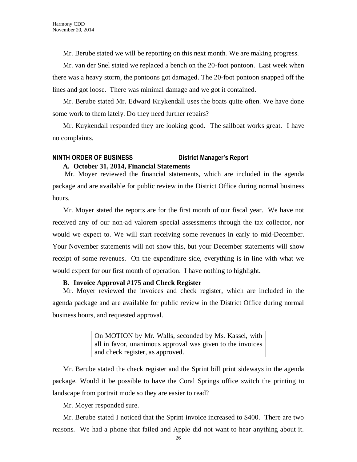Mr. Berube stated we will be reporting on this next month. We are making progress.

Mr. van der Snel stated we replaced a bench on the 20-foot pontoon. Last week when there was a heavy storm, the pontoons got damaged. The 20-foot pontoon snapped off the lines and got loose. There was minimal damage and we got it contained.

Mr. Berube stated Mr. Edward Kuykendall uses the boats quite often. We have done some work to them lately. Do they need further repairs?

Mr. Kuykendall responded they are looking good. The sailboat works great. I have no complaints.

# **NINTH ORDER OF BUSINESS District Manager's Report A. October 31, 2014, Financial Statements**

Mr. Moyer reviewed the financial statements, which are included in the agenda package and are available for public review in the District Office during normal business hours.

Mr. Moyer stated the reports are for the first month of our fiscal year. We have not received any of our non-ad valorem special assessments through the tax collector, nor would we expect to. We will start receiving some revenues in early to mid-December. Your November statements will not show this, but your December statements will show receipt of some revenues. On the expenditure side, everything is in line with what we would expect for our first month of operation. I have nothing to highlight.

# **B. Invoice Approval #175 and Check Register**

Mr. Moyer reviewed the invoices and check register, which are included in the agenda package and are available for public review in the District Office during normal business hours, and requested approval.

> On MOTION by Mr. Walls, seconded by Ms. Kassel, with all in favor, unanimous approval was given to the invoices and check register, as approved.

Mr. Berube stated the check register and the Sprint bill print sideways in the agenda package. Would it be possible to have the Coral Springs office switch the printing to landscape from portrait mode so they are easier to read?

Mr. Moyer responded sure.

Mr. Berube stated I noticed that the Sprint invoice increased to \$400. There are two reasons. We had a phone that failed and Apple did not want to hear anything about it.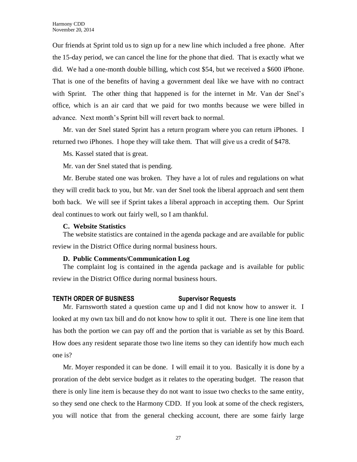Our friends at Sprint told us to sign up for a new line which included a free phone. After the 15-day period, we can cancel the line for the phone that died. That is exactly what we did. We had a one-month double billing, which cost \$54, but we received a \$600 iPhone. That is one of the benefits of having a government deal like we have with no contract with Sprint. The other thing that happened is for the internet in Mr. Van der Snel's office, which is an air card that we paid for two months because we were billed in advance. Next month's Sprint bill will revert back to normal.

Mr. van der Snel stated Sprint has a return program where you can return iPhones. I returned two iPhones. I hope they will take them. That will give us a credit of \$478.

Ms. Kassel stated that is great.

Mr. van der Snel stated that is pending.

Mr. Berube stated one was broken. They have a lot of rules and regulations on what they will credit back to you, but Mr. van der Snel took the liberal approach and sent them both back. We will see if Sprint takes a liberal approach in accepting them. Our Sprint deal continues to work out fairly well, so I am thankful.

# **C. Website Statistics**

The website statistics are contained in the agenda package and are available for public review in the District Office during normal business hours.

# **D. Public Comments/Communication Log**

The complaint log is contained in the agenda package and is available for public review in the District Office during normal business hours.

# **TENTH ORDER OF BUSINESS Supervisor Requests**

Mr. Farnsworth stated a question came up and I did not know how to answer it. I looked at my own tax bill and do not know how to split it out. There is one line item that has both the portion we can pay off and the portion that is variable as set by this Board. How does any resident separate those two line items so they can identify how much each one is?

Mr. Moyer responded it can be done. I will email it to you. Basically it is done by a proration of the debt service budget as it relates to the operating budget. The reason that there is only line item is because they do not want to issue two checks to the same entity, so they send one check to the Harmony CDD. If you look at some of the check registers, you will notice that from the general checking account, there are some fairly large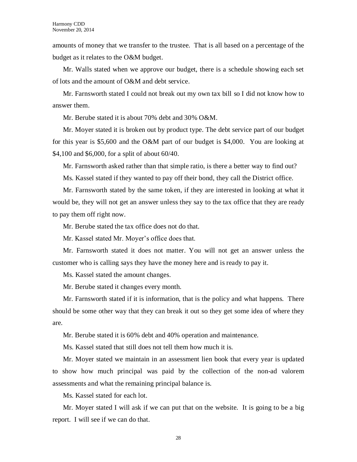amounts of money that we transfer to the trustee. That is all based on a percentage of the budget as it relates to the O&M budget.

Mr. Walls stated when we approve our budget, there is a schedule showing each set of lots and the amount of O&M and debt service.

Mr. Farnsworth stated I could not break out my own tax bill so I did not know how to answer them.

Mr. Berube stated it is about 70% debt and 30% O&M.

Mr. Moyer stated it is broken out by product type. The debt service part of our budget for this year is \$5,600 and the O&M part of our budget is \$4,000. You are looking at \$4,100 and \$6,000, for a split of about 60/40.

Mr. Farnsworth asked rather than that simple ratio, is there a better way to find out?

Ms. Kassel stated if they wanted to pay off their bond, they call the District office.

Mr. Farnsworth stated by the same token, if they are interested in looking at what it would be, they will not get an answer unless they say to the tax office that they are ready to pay them off right now.

Mr. Berube stated the tax office does not do that.

Mr. Kassel stated Mr. Moyer's office does that.

Mr. Farnsworth stated it does not matter. You will not get an answer unless the customer who is calling says they have the money here and is ready to pay it.

Ms. Kassel stated the amount changes.

Mr. Berube stated it changes every month.

Mr. Farnsworth stated if it is information, that is the policy and what happens. There should be some other way that they can break it out so they get some idea of where they are.

Mr. Berube stated it is 60% debt and 40% operation and maintenance.

Ms. Kassel stated that still does not tell them how much it is.

Mr. Moyer stated we maintain in an assessment lien book that every year is updated to show how much principal was paid by the collection of the non-ad valorem assessments and what the remaining principal balance is.

Ms. Kassel stated for each lot.

Mr. Moyer stated I will ask if we can put that on the website. It is going to be a big report. I will see if we can do that.

28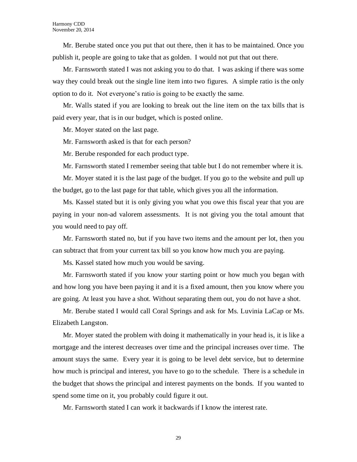Mr. Berube stated once you put that out there, then it has to be maintained. Once you publish it, people are going to take that as golden. I would not put that out there.

Mr. Farnsworth stated I was not asking you to do that. I was asking if there was some way they could break out the single line item into two figures. A simple ratio is the only option to do it. Not everyone's ratio is going to be exactly the same.

Mr. Walls stated if you are looking to break out the line item on the tax bills that is paid every year, that is in our budget, which is posted online.

Mr. Moyer stated on the last page.

Mr. Farnsworth asked is that for each person?

Mr. Berube responded for each product type.

Mr. Farnsworth stated I remember seeing that table but I do not remember where it is.

Mr. Moyer stated it is the last page of the budget. If you go to the website and pull up the budget, go to the last page for that table, which gives you all the information.

Ms. Kassel stated but it is only giving you what you owe this fiscal year that you are paying in your non-ad valorem assessments. It is not giving you the total amount that you would need to pay off.

Mr. Farnsworth stated no, but if you have two items and the amount per lot, then you can subtract that from your current tax bill so you know how much you are paying.

Ms. Kassel stated how much you would be saving.

Mr. Farnsworth stated if you know your starting point or how much you began with and how long you have been paying it and it is a fixed amount, then you know where you are going. At least you have a shot. Without separating them out, you do not have a shot.

Mr. Berube stated I would call Coral Springs and ask for Ms. Luvinia LaCap or Ms. Elizabeth Langston.

Mr. Moyer stated the problem with doing it mathematically in your head is, it is like a mortgage and the interest decreases over time and the principal increases over time. The amount stays the same. Every year it is going to be level debt service, but to determine how much is principal and interest, you have to go to the schedule. There is a schedule in the budget that shows the principal and interest payments on the bonds. If you wanted to spend some time on it, you probably could figure it out.

Mr. Farnsworth stated I can work it backwards if I know the interest rate.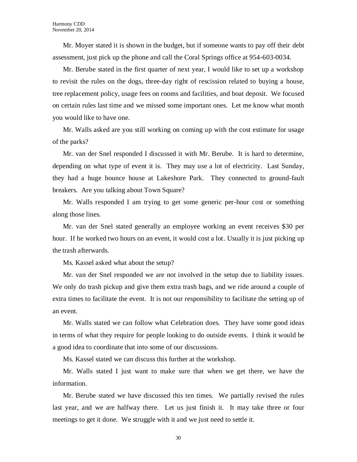Mr. Moyer stated it is shown in the budget, but if someone wants to pay off their debt assessment, just pick up the phone and call the Coral Springs office at 954-603-0034.

Mr. Berube stated in the first quarter of next year, I would like to set up a workshop to revisit the rules on the dogs, three-day right of rescission related to buying a house, tree replacement policy, usage fees on rooms and facilities, and boat deposit. We focused on certain rules last time and we missed some important ones. Let me know what month you would like to have one.

Mr. Walls asked are you still working on coming up with the cost estimate for usage of the parks?

Mr. van der Snel responded I discussed it with Mr. Berube. It is hard to determine, depending on what type of event it is. They may use a lot of electricity. Last Sunday, they had a huge bounce house at Lakeshore Park. They connected to ground-fault breakers. Are you talking about Town Square?

Mr. Walls responded I am trying to get some generic per-hour cost or something along those lines.

Mr. van der Snel stated generally an employee working an event receives \$30 per hour. If he worked two hours on an event, it would cost a lot. Usually it is just picking up the trash afterwards.

Ms. Kassel asked what about the setup?

Mr. van der Snel responded we are not involved in the setup due to liability issues. We only do trash pickup and give them extra trash bags, and we ride around a couple of extra times to facilitate the event. It is not our responsibility to facilitate the setting up of an event.

Mr. Walls stated we can follow what Celebration does. They have some good ideas in terms of what they require for people looking to do outside events. I think it would be a good idea to coordinate that into some of our discussions.

Ms. Kassel stated we can discuss this further at the workshop.

Mr. Walls stated I just want to make sure that when we get there, we have the information.

Mr. Berube stated we have discussed this ten times. We partially revised the rules last year, and we are halfway there. Let us just finish it. It may take three or four meetings to get it done. We struggle with it and we just need to settle it.